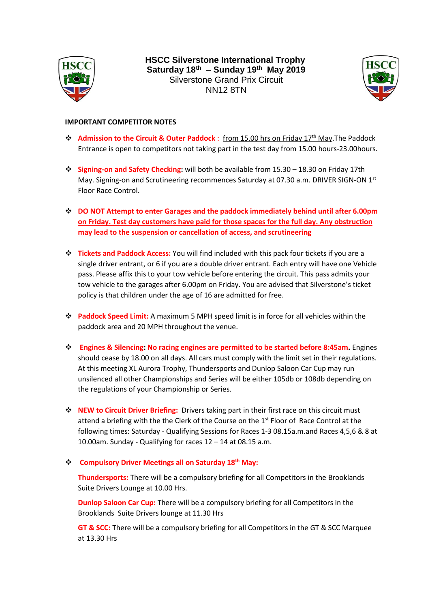

**HSCC Silverstone International Trophy Saturday 18th – Sunday 19th May 2019** Silverstone Grand Prix Circuit NN12 8TN



## **IMPORTANT COMPETITOR NOTES**

- ❖ **Admission to the Circuit & Outer Paddock** : from 15.00 hrs on Friday 17th May.The Paddock Entrance is open to competitors not taking part in the test day from 15.00 hours-23.00hours.
- ❖ **Signing-on and Safety Checking:** will both be available from 15.30 18.30 on Friday 17th May. Signing-on and Scrutineering recommences Saturday at 07.30 a.m. DRIVER SIGN-ON 1<sup>st</sup> Floor Race Control.
- ❖ **DO NOT Attempt to enter Garages and the paddock immediately behind until after 6.00pm on Friday. Test day customers have paid for those spaces for the full day. Any obstruction may lead to the suspension or cancellation of access, and scrutineering**
- ❖ **Tickets and Paddock Access:** You will find included with this pack four tickets if you are a single driver entrant, or 6 if you are a double driver entrant. Each entry will have one Vehicle pass. Please affix this to your tow vehicle before entering the circuit. This pass admits your tow vehicle to the garages after 6.00pm on Friday. You are advised that Silverstone's ticket policy is that children under the age of 16 are admitted for free.
- ❖ **Paddock Speed Limit:** A maximum 5 MPH speed limit is in force for all vehicles within the paddock area and 20 MPH throughout the venue.
- ❖ **Engines & Silencing: No racing engines are permitted to be started before 8:45am.** Engines should cease by 18.00 on all days. All cars must comply with the limit set in their regulations. At this meeting XL Aurora Trophy, Thundersports and Dunlop Saloon Car Cup may run unsilenced all other Championships and Series will be either 105db or 108db depending on the regulations of your Championship or Series.
- ❖ **NEW to Circuit Driver Briefing:** Drivers taking part in their first race on this circuit must attend a briefing with the the Clerk of the Course on the 1<sup>st</sup> Floor of Race Control at the following times: Saturday - Qualifying Sessions for Races 1-3 08.15a.m.and Races 4,5,6 & 8 at 10.00am. Sunday - Qualifying for races 12 – 14 at 08.15 a.m.

## ❖ **Compulsory Driver Meetings all on Saturday 18th May:**

**Thundersports:** There will be a compulsory briefing for all Competitors in the Brooklands Suite Drivers Lounge at 10.00 Hrs.

**Dunlop Saloon Car Cup:** There will be a compulsory briefing for all Competitors in the Brooklands Suite Drivers lounge at 11.30 Hrs

**GT & SCC:** There will be a compulsory briefing for all Competitors in the GT & SCC Marquee at 13.30 Hrs